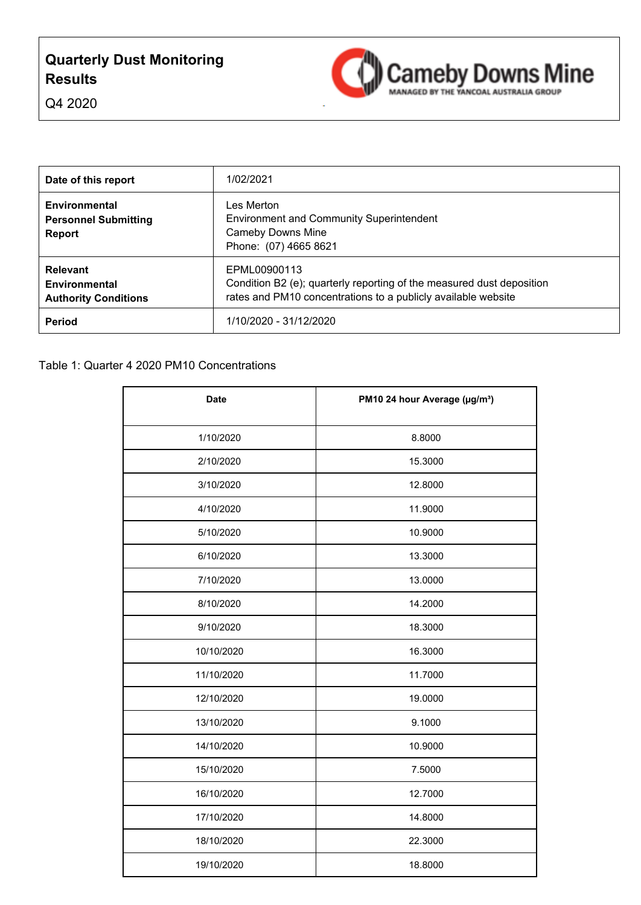## **Quarterly Dust Monitoring Results**



Q4 2020

| Date of this report                                                    | 1/02/2021                                                                                                                                              |
|------------------------------------------------------------------------|--------------------------------------------------------------------------------------------------------------------------------------------------------|
| Environmental<br><b>Personnel Submitting</b><br><b>Report</b>          | Les Merton<br><b>Environment and Community Superintendent</b><br><b>Cameby Downs Mine</b><br>Phone: (07) 4665 8621                                     |
| <b>Relevant</b><br><b>Environmental</b><br><b>Authority Conditions</b> | EPML00900113<br>Condition B2 (e); quarterly reporting of the measured dust deposition<br>rates and PM10 concentrations to a publicly available website |
| Period                                                                 | 1/10/2020 - 31/12/2020                                                                                                                                 |

| <b>Date</b> | PM10 24 hour Average (µg/m <sup>3</sup> ) |
|-------------|-------------------------------------------|
| 1/10/2020   | 8.8000                                    |
| 2/10/2020   | 15.3000                                   |
| 3/10/2020   | 12.8000                                   |
| 4/10/2020   | 11.9000                                   |
| 5/10/2020   | 10.9000                                   |
| 6/10/2020   | 13.3000                                   |
| 7/10/2020   | 13.0000                                   |
| 8/10/2020   | 14.2000                                   |
| 9/10/2020   | 18.3000                                   |
| 10/10/2020  | 16.3000                                   |
| 11/10/2020  | 11.7000                                   |
| 12/10/2020  | 19.0000                                   |
| 13/10/2020  | 9.1000                                    |
| 14/10/2020  | 10.9000                                   |
| 15/10/2020  | 7.5000                                    |
| 16/10/2020  | 12.7000                                   |
| 17/10/2020  | 14.8000                                   |
| 18/10/2020  | 22.3000                                   |
| 19/10/2020  | 18.8000                                   |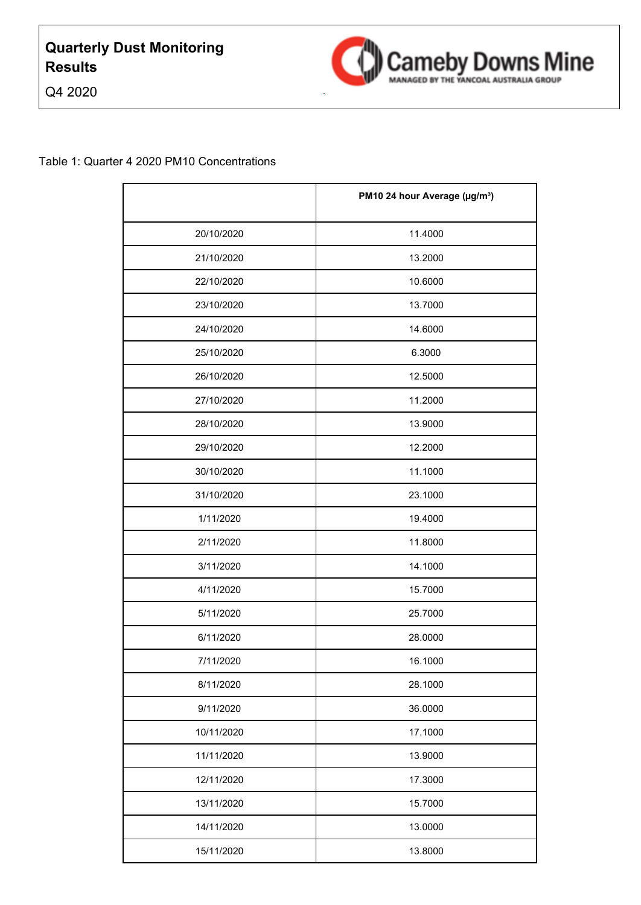



### Q4 2020

|            | PM10 24 hour Average (µg/m <sup>3</sup> ) |
|------------|-------------------------------------------|
| 20/10/2020 | 11.4000                                   |
| 21/10/2020 | 13.2000                                   |
| 22/10/2020 | 10.6000                                   |
| 23/10/2020 | 13.7000                                   |
| 24/10/2020 | 14.6000                                   |
| 25/10/2020 | 6.3000                                    |
| 26/10/2020 | 12.5000                                   |
| 27/10/2020 | 11.2000                                   |
| 28/10/2020 | 13.9000                                   |
| 29/10/2020 | 12.2000                                   |
| 30/10/2020 | 11.1000                                   |
| 31/10/2020 | 23.1000                                   |
| 1/11/2020  | 19.4000                                   |
| 2/11/2020  | 11.8000                                   |
| 3/11/2020  | 14.1000                                   |
| 4/11/2020  | 15.7000                                   |
| 5/11/2020  | 25.7000                                   |
| 6/11/2020  | 28.0000                                   |
| 7/11/2020  | 16.1000                                   |
| 8/11/2020  | 28.1000                                   |
| 9/11/2020  | 36.0000                                   |
| 10/11/2020 | 17.1000                                   |
| 11/11/2020 | 13.9000                                   |
| 12/11/2020 | 17.3000                                   |
| 13/11/2020 | 15.7000                                   |
| 14/11/2020 | 13.0000                                   |
| 15/11/2020 | 13.8000                                   |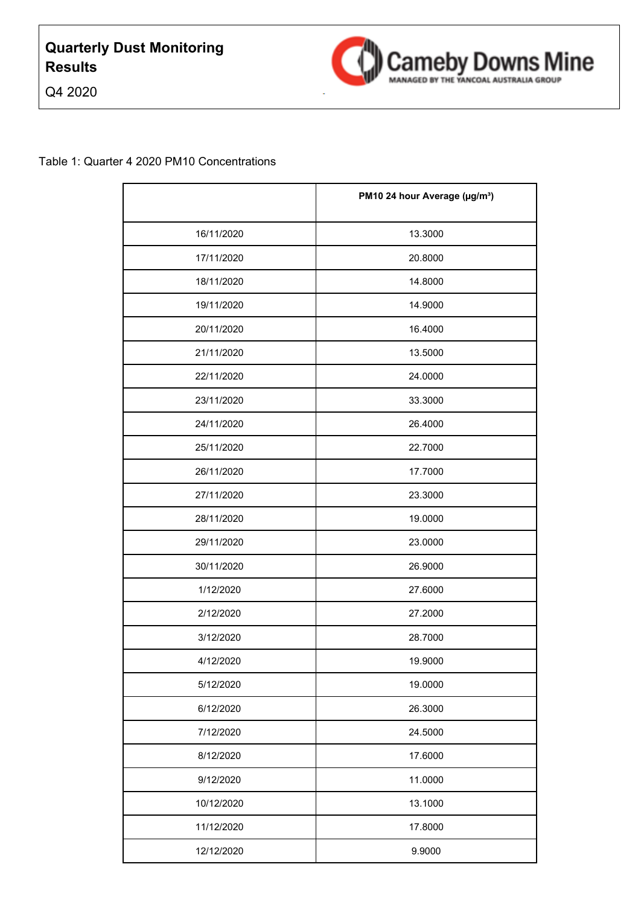



|            | PM10 24 hour Average (µg/m <sup>3</sup> ) |
|------------|-------------------------------------------|
| 16/11/2020 | 13.3000                                   |
| 17/11/2020 | 20.8000                                   |
| 18/11/2020 | 14.8000                                   |
| 19/11/2020 | 14.9000                                   |
| 20/11/2020 | 16.4000                                   |
| 21/11/2020 | 13.5000                                   |
| 22/11/2020 | 24.0000                                   |
| 23/11/2020 | 33.3000                                   |
| 24/11/2020 | 26.4000                                   |
| 25/11/2020 | 22.7000                                   |
| 26/11/2020 | 17.7000                                   |
| 27/11/2020 | 23.3000                                   |
| 28/11/2020 | 19.0000                                   |
| 29/11/2020 | 23.0000                                   |
| 30/11/2020 | 26.9000                                   |
| 1/12/2020  | 27.6000                                   |
| 2/12/2020  | 27.2000                                   |
| 3/12/2020  | 28.7000                                   |
| 4/12/2020  | 19.9000                                   |
| 5/12/2020  | 19.0000                                   |
| 6/12/2020  | 26.3000                                   |
| 7/12/2020  | 24.5000                                   |
| 8/12/2020  | 17.6000                                   |
| 9/12/2020  | 11.0000                                   |
| 10/12/2020 | 13.1000                                   |
| 11/12/2020 | 17.8000                                   |
| 12/12/2020 | 9.9000                                    |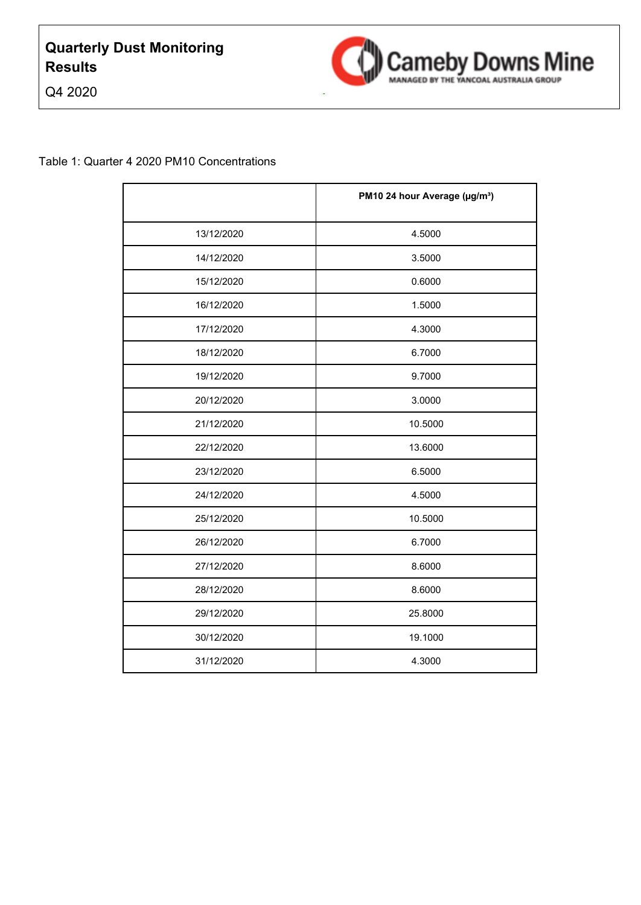

Q4 2020

|            | PM10 24 hour Average (µg/m <sup>3</sup> ) |
|------------|-------------------------------------------|
| 13/12/2020 | 4.5000                                    |
| 14/12/2020 | 3.5000                                    |
| 15/12/2020 | 0.6000                                    |
| 16/12/2020 | 1.5000                                    |
| 17/12/2020 | 4.3000                                    |
| 18/12/2020 | 6.7000                                    |
| 19/12/2020 | 9.7000                                    |
| 20/12/2020 | 3.0000                                    |
| 21/12/2020 | 10.5000                                   |
| 22/12/2020 | 13.6000                                   |
| 23/12/2020 | 6.5000                                    |
| 24/12/2020 | 4.5000                                    |
| 25/12/2020 | 10.5000                                   |
| 26/12/2020 | 6.7000                                    |
| 27/12/2020 | 8.6000                                    |
| 28/12/2020 | 8.6000                                    |
| 29/12/2020 | 25.8000                                   |
| 30/12/2020 | 19.1000                                   |
| 31/12/2020 | 4.3000                                    |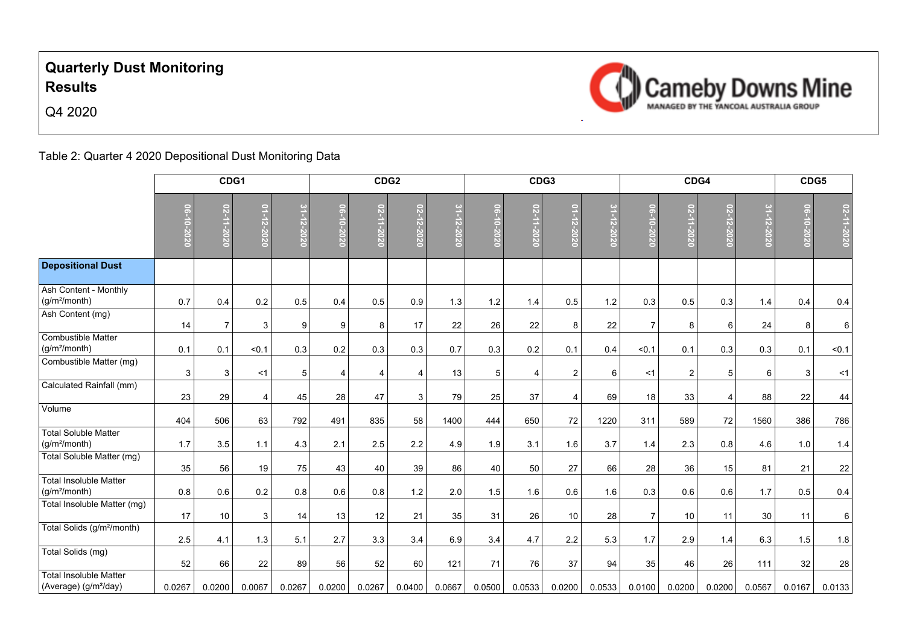## **Quarterly Dust Monitoring Results**



Q4 2020



Table 2: Quarter 4 2020 Depositional Dust Monitoring Data

|                                                                        | CDG1         |                |                |                   | CDG <sub>2</sub> |            |            | CDG3       |              |                |                | CDG4                                            |                |                 | CDG5           |            |            |            |
|------------------------------------------------------------------------|--------------|----------------|----------------|-------------------|------------------|------------|------------|------------|--------------|----------------|----------------|-------------------------------------------------|----------------|-----------------|----------------|------------|------------|------------|
|                                                                        | 0202-010-020 |                | 01-12-2020     | $31 -$<br>12-2020 | 0202-01-90       | 02-11-2020 | 02-12-2020 | 31-12-2020 | 0202-010-020 | 02-11-2020     | 01-12-2020     | $31 - 1$<br>$\overline{z}$ -2<br>$\overline{0}$ | 06-10-2020     | $\tilde{\rm g}$ | 02-12-2020     | 31-12-2020 | 06-10-2020 | 02-11-2020 |
| <b>Depositional Dust</b>                                               |              |                |                |                   |                  |            |            |            |              |                |                |                                                 |                |                 |                |            |            |            |
| Ash Content - Monthly<br>(g/m <sup>2</sup> /month)<br>Ash Content (mg) | 0.7          | 0.4            | 0.2            | 0.5               | 0.4              | 0.5        | 0.9        | 1.3        | 1.2          | 1.4            | 0.5            | 1.2                                             | 0.3            | 0.5             | 0.3            | 1.4        | 0.4        | 0.4        |
|                                                                        | 14           | $\overline{7}$ | 3              | 9                 | 9                | 8          | 17         | 22         | 26           | 22             | 8              | 22                                              | $\overline{7}$ | 8               | 6              | 24         | 8          | $\,6\,$    |
| <b>Combustible Matter</b><br>(g/m <sup>2</sup> /month)                 | 0.1          | 0.1            | < 0.1          | 0.3               | 0.2              | 0.3        | 0.3        | 0.7        | 0.3          | 0.2            | 0.1            | 0.4                                             | < 0.1          | 0.1             | 0.3            | 0.3        | 0.1        | < 0.1      |
| Combustible Matter (mg)                                                | 3            | 3              | <1             | 5 <sup>5</sup>    | 4                | 4          | 4          | 13         | $\sqrt{5}$   | $\overline{4}$ | $\overline{2}$ | 6                                               | <1             | $\overline{2}$  | 5              | 6          | 3          | $<$ 1      |
| Calculated Rainfall (mm)                                               | 23           | 29             | $\overline{4}$ | 45                | 28               | 47         | 3          | 79         | 25           | 37             | 4              | 69                                              | 18             | 33              | $\overline{4}$ | 88         | 22         | 44         |
| Volume                                                                 | 404          | 506            | 63             | 792               | 491              | 835        | 58         | 1400       | 444          | 650            | 72             | 1220                                            | 311            | 589             | 72             | 1560       | 386        | 786        |
| <b>Total Soluble Matter</b><br>(g/m <sup>2</sup> /month)               | 1.7          | 3.5            | 1.1            | 4.3               | 2.1              | 2.5        | 2.2        | 4.9        | 1.9          | 3.1            | 1.6            | 3.7                                             | 1.4            | 2.3             | 0.8            | 4.6        | 1.0        | 1.4        |
| Total Soluble Matter (mg)                                              | 35           | 56             | 19             | 75                | 43               | 40         | 39         | 86         | 40           | 50             | 27             | 66                                              | 28             | 36              | 15             | 81         | 21         | 22         |
| <b>Total Insoluble Matter</b><br>(g/m <sup>2</sup> /month)             | 0.8          | 0.6            | 0.2            | 0.8               | 0.6              | 0.8        | 1.2        | 2.0        | 1.5          | 1.6            | 0.6            | 1.6                                             | 0.3            | 0.6             | 0.6            | 1.7        | 0.5        | 0.4        |
| Total Insoluble Matter (mg)                                            | 17           | $10\,$         | 3              | 14                | 13               | 12         | 21         | 35         | 31           | 26             | 10             | 28                                              | $\overline{7}$ | 10              | 11             | 30         | 11         | 6          |
| Total Solids (g/m <sup>2</sup> /month)                                 | 2.5          | 4.1            | 1.3            | 5.1               | 2.7              | 3.3        | 3.4        | 6.9        | 3.4          | 4.7            | 2.2            | 5.3                                             | 1.7            | 2.9             | 1.4            | 6.3        | 1.5        | 1.8        |
| Total Solids (mg)                                                      | 52           | 66             | 22             | 89                | 56               | 52         | 60         | 121        | 71           | 76             | 37             | 94                                              | 35             | 46              | 26             | 111        | 32         | 28         |
| <b>Total Insoluble Matter</b><br>(Average) (g/m <sup>2</sup> /day)     | 0.0267       | 0.0200         | 0.0067         | 0.0267            | 0.0200           | 0.0267     | 0.0400     | 0.0667     | 0.0500       | 0.0533         | 0.0200         | 0.0533                                          | 0.0100         | 0.0200          | 0.0200         | 0.0567     | 0.0167     | 0.0133     |